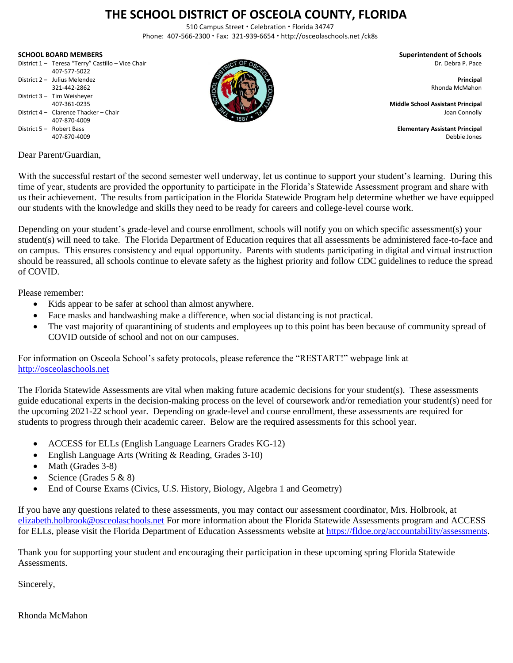# **THE SCHOOL DISTRICT OF OSCEOLA COUNTY, FLORIDA**

510 Campus Street · Celebration · Florida 34747 Phone: 407-566-2300 Fax: 321-939-6654 http://osceolaschools.net /ck8s

| 391996 <i>996</i> 1197119711961                   | <b>PAPCI IIItCHUCHIt OF PEHOOIS</b>      |
|---------------------------------------------------|------------------------------------------|
| District 1 - Teresa "Terry" Castillo - Vice Chair | Dr. Debra P. Pace                        |
| 407-577-5022                                      |                                          |
| District 2 - Julius Melendez                      | Principal                                |
| 321-442-2862                                      | Rhonda McMahon                           |
| District 3 - Tim Weishever                        |                                          |
| 407-361-0235                                      | <b>Middle School Assistant Principal</b> |
| District 4 - Clarence Thacker - Chair             | Joan Connolly                            |
| 407-870-4009                                      |                                          |
| District 5 - Robert Bass                          | <b>Elementary Assistant Principal</b>    |
| 407-870-4009                                      | Debbie Jones                             |
|                                                   |                                          |

Dear Parent/Guardian,

**SCHOOL BOARD MEMBERS SUPERENT SUPERENT SUPERENT OF SUPERENT SUPERENT SUPERENT SUPERENT SUPERENT SUPERENT SUPERENT SUPERENT SUPERENT SUPERENT SUPERENT SUPERENT SUPERENT SUPERENT SUPERENT SUPERENT SUPERENT SUPERENT SUPERE** 

With the successful restart of the second semester well underway, let us continue to support your student's learning. During this time of year, students are provided the opportunity to participate in the Florida's Statewide Assessment program and share with us their achievement. The results from participation in the Florida Statewide Program help determine whether we have equipped our students with the knowledge and skills they need to be ready for careers and college-level course work.

Depending on your student's grade-level and course enrollment, schools will notify you on which specific assessment(s) your student(s) will need to take. The Florida Department of Education requires that all assessments be administered face-to-face and on campus. This ensures consistency and equal opportunity. Parents with students participating in digital and virtual instruction should be reassured, all schools continue to elevate safety as the highest priority and follow CDC guidelines to reduce the spread of COVID.

Please remember:

- Kids appear to be safer at school than almost anywhere.
- Face masks and handwashing make a difference, when social distancing is not practical.
- The vast majority of quarantining of students and employees up to this point has been because of community spread of COVID outside of school and not on our campuses.

For information on Osceola School's safety protocols, please reference the "RESTART!" webpage link at [http://osceolaschools.net](http://osceolaschools.net/)

The Florida Statewide Assessments are vital when making future academic decisions for your student(s). These assessments guide educational experts in the decision-making process on the level of coursework and/or remediation your student(s) need for the upcoming 2021-22 school year. Depending on grade-level and course enrollment, these assessments are required for students to progress through their academic career. Below are the required assessments for this school year.

- ACCESS for ELLs (English Language Learners Grades KG-12)
- English Language Arts (Writing & Reading, Grades 3-10)
- Math (Grades 3-8)
- Science (Grades  $5 \& 8$ )
- End of Course Exams (Civics, U.S. History, Biology, Algebra 1 and Geometry)

If you have any questions related to these assessments, you may contact our assessment coordinator, Mrs. Holbrook, at [elizabeth.holbrook@osceolaschools.net](mailto:elizabeth.holbrook@osceolaschools.net) For more information about the Florida Statewide Assessments program and ACCESS for ELLs, please visit the Florida Department of Education Assessments website at [https://fldoe.org/accountability/assessments.](https://fldoe.org/accountability/assessments)

Thank you for supporting your student and encouraging their participation in these upcoming spring Florida Statewide Assessments.

Sincerely,

Rhonda McMahon